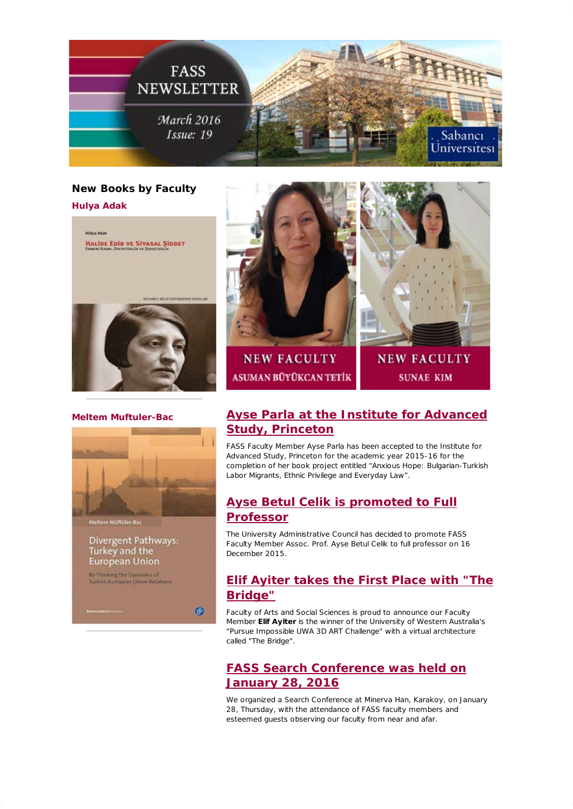

## **New Books by Faculty**

**Hulya Adak**



### **Meltem Muftuler-Bac**

![](_page_0_Picture_5.jpeg)

### Divergent Pathways: Turkey and the **European Union**

.<br>Re-Thinking the Dynamics of<br>Turkish-Turopean Union Relatio

0

![](_page_0_Picture_9.jpeg)

**NEW FACULTY** 

**SUNAE KIM** 

# **[Ayse Parla at the Institute for Advanced](http://fass.sabanciuniv.edu/en/announcements-detail/62422) Study, Princeton**

FASS Faculty Member Ayse Parla has been accepted to the Institute for Advanced Study, Princeton for the academic year 2015-16 for the completion of her book project entitled "Anxious Hope: Bulgarian-Turkish Labor Migrants, Ethnic Privilege and Everyday Law".

## **[Ayse Betul Celik is promoted to Full](https://mail.google.com/_/scs/mail-static/_/js/k=gmail.main.en.rM_vkFsYDnI.O/m=m_i,t,it/am=PiPeSMD93_uDuMY4QLv0lQrz3n--e1L85IGX_ydNAJG6CoD_m_0_gF-D9qItNg/rt=h/d=1/rs=AHGWq9D7dazytTPh3h-5SVe9P96s7ewoAw) Professor**

The University Administrative Council has decided to promote FASS Faculty Member Assoc. Prof. Ayse Betul Celik to full professor on 16 December 2015.

# **[Elif Ayiter takes the First Place with "The](http://fass.sabanciuniv.edu/en/announcements-detail/62347) Bridge"**

Faculty of Arts and Social Sciences is proud to announce our Faculty Member **Elif Ayiter** is the winner of the University of Western Australia's "Pursue Impossible UWA 3D ART Challenge" with a virtual architecture called "The Bridge".

# **[FASS Search Conference was held on](http://fass.sabanciuniv.edu/en/announcements-detail/63000) January 28, 2016**

We organized a Search Conference at Minerva Han, Karakoy, on January 28, Thursday, with the attendance of FASS faculty members and esteemed guests observing our faculty from near and afar.